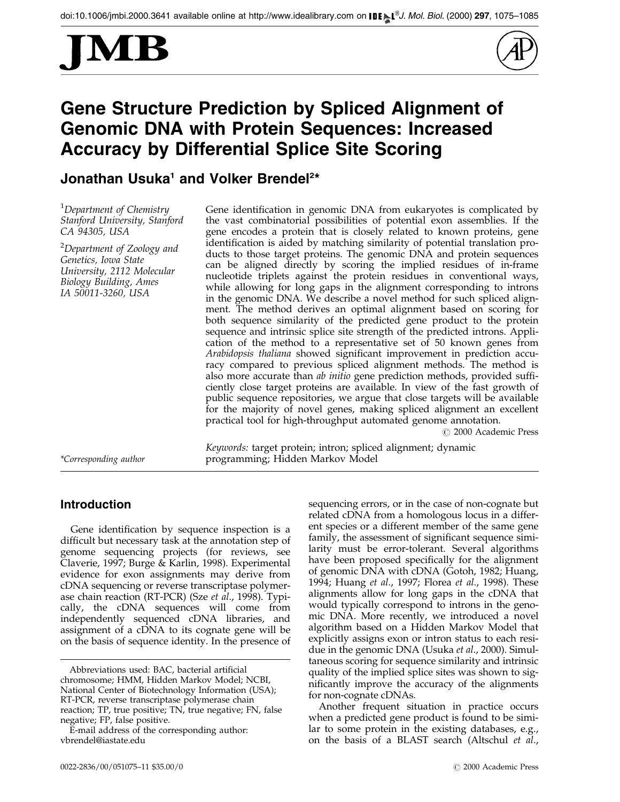



# Gene Structure Prediction by Spliced Alignment of Genomic DNA with Protein Sequences: Increased Accuracy by Differential Splice Site Scoring

# Jonathan Usuka<sup>1</sup> and Volker Brendel<sup>2\*</sup>

<sup>1</sup>Department of Chemistry Stanford University, Stanford CA 94305, USA

 $^2$ Department of Zoology and Genetics, Iowa State University, 2112 Molecular Biology Building, Ames IA 50011-3260, USA

Gene identification in genomic DNA from eukaryotes is complicated by the vast combinatorial possibilities of potential exon assemblies. If the gene encodes a protein that is closely related to known proteins, gene identification is aided by matching similarity of potential translation products to those target proteins. The genomic DNA and protein sequences can be aligned directly by scoring the implied residues of in-frame nucleotide triplets against the protein residues in conventional ways, while allowing for long gaps in the alignment corresponding to introns in the genomic DNA. We describe a novel method for such spliced alignment. The method derives an optimal alignment based on scoring for both sequence similarity of the predicted gene product to the protein sequence and intrinsic splice site strength of the predicted introns. Application of the method to a representative set of 50 known genes from Arabidopsis thaliana showed significant improvement in prediction accuracy compared to previous spliced alignment methods. The method is also more accurate than *ab initio* gene prediction methods, provided sufficiently close target proteins are available. In view of the fast growth of public sequence repositories, we argue that close targets will be available for the majority of novel genes, making spliced alignment an excellent practical tool for high-throughput automated genome annotation.

© 2000 Academic Press

Keywords: target protein; intron; spliced alignment; dynamic \*Corresponding author programming; Hidden Markov Model

# Introduction

Gene identification by sequence inspection is a difficult but necessary task at the annotation step of genome sequencing projects (for reviews, see [Claverie,](#page-10-0) 1997[; Burge &](#page-10-0) Karlin, 1998). Experimental evidence for exon assignments may derive from cDNA sequencing or reverse transcriptase polymerase chain reaction (RT-PCR) (Sze [et al](#page-10-0)., 1998). Typically, the cDNA sequences will come from independently sequenced cDNA libraries, and assignment of a cDNA to its cognate gene will be on the basis of sequence identity. In the presence of sequencing errors, or in the case of non-cognate but related cDNA from a homologous locus in a different species or a different member of the same gene family, the assessment of significant sequence similarity must be error-tolerant. Several algorithms have been proposed specifically for the alignment of genomic DNA with cDNA [\(Gotoh, 1](#page-10-0)982[; Huang,](#page-10-0) 1994; [Huang](#page-10-0) et al., 1997; [Florea](#page-10-0) et al., 1998). These alignments allow for long gaps in the cDNA that would typically correspond to introns in the genomic DNA. More recently, we introduced a novel algorithm based on a Hidden Markov Model that explicitly assigns exon or intron status to each residue in the genomic DNA [\(Usuka](#page-10-0) et al., 2000). Simultaneous scoring for sequence similarity and intrinsic quality of the implied splice sites was shown to significantly improve the accuracy of the alignments for non-cognate cDNAs.

Another frequent situation in practice occurs when a predicted gene product is found to be similar to some protein in the existing databases, e.g., on the basis of a BLAST search [\(Altschul](#page-9-0) et al.,

Abbreviations used: BAC, bacterial artificial chromosome; HMM, Hidden Markov Model; NCBI, National Center of Biotechnology Information (USA); RT-PCR, reverse transcriptase polymerase chain reaction; TP, true positive; TN, true negative; FN, false negative; FP, false positive.

E-mail address of the corresponding author: vbrendel@iastate.edu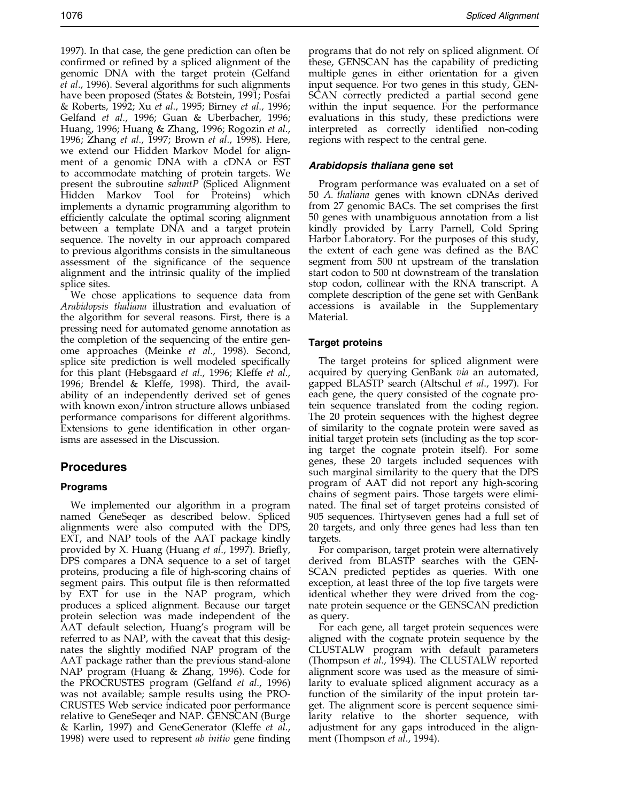1997). In that case, the gene prediction can often be confirmed or refined by a spliced alignment of the genomic DNA with the target protein [\(Gelfand](#page-10-0) et al., 1996). Several algorithms for such alignments have been proposed [\(States &](#page-10-0) Botstein, 1991[; Posfai](#page-10-0) & Roberts, 1992; Xu [et al](#page-10-0)., 1995; [Birney](#page-9-0) et al., 1996; [Gelfand](#page-10-0) et al., 1996; [Guan &](#page-10-0) Uberbacher, 1996; [Huang, 1](#page-10-0)996[; Huang &](#page-10-0) Zhang, 1996[; Rogozin](#page-10-0) et al., 1996; [Zhang](#page-10-0) et al., 1997; [Brown](#page-10-0) et al., 1998). Here, we extend our Hidden Markov Model for alignment of a genomic DNA with a cDNA or EST to accommodate matching of protein targets. We present the subroutine sahmtP (Spliced Alignment Hidden Markov Tool for Proteins) which implements a dynamic programming algorithm to efficiently calculate the optimal scoring alignment between a template DNA and a target protein sequence. The novelty in our approach compared to previous algorithms consists in the simultaneous assessment of the significance of the sequence alignment and the intrinsic quality of the implied splice sites.

We chose applications to sequence data from Arabidopsis thaliana illustration and evaluation of the algorithm for several reasons. First, there is a pressing need for automated genome annotation as the completion of the sequencing of the entire genome approaches [\(Meinke](#page-10-0) et al., 1998). Second, splice site prediction is well modeled specifically for this plant [\(Hebsgaa](#page-10-0)rd et al., 1996; [Kleffe](#page-10-0) et al., 1996; [Brendel](#page-10-0) & Kleffe, 1998). Third, the availability of an independently derived set of genes with known exon/intron structure allows unbiased performance comparisons for different algorithms. Extensions to gene identification in other organisms are assessed in the Discussion.

# Procedures

# Programs

We implemented our algorithm in a program named GeneSeqer as described below. Spliced alignments were also computed with the DPS, EXT, and NAP tools of the AAT package kindly provided by X. Huang [\(Huang](#page-10-0) et al., 1997). Briefly, DPS compares a DNA sequence to a set of target proteins, producing a file of high-scoring chains of segment pairs. This output file is then reformatted by EXT for use in the NAP program, which produces a spliced alignment. Because our target protein selection was made independent of the AAT default selection, Huang's program will be referred to as NAP, with the caveat that this designates the slightly modified NAP program of the AAT package rather than the previous stand-alone NAP program [\(Huang &](#page-10-0) Zhang, 1996). Code for the PROCRUSTES program [\(Gelfand](#page-10-0) et al., 1996) was not available; sample results using the PRO-CRUSTES Web service indicated poor performance relative to GeneSeqer and NAP. GENSCAN [\(Burge](#page-10-0) & Karlin, 1997) and GeneGenerator [\(Kleffe](#page-10-0) et al., 1998) were used to represent *ab initio* gene finding

programs that do not rely on spliced alignment. Of these, GENSCAN has the capability of predicting multiple genes in either orientation for a given input sequence. For two genes in this study, GEN-SCAN correctly predicted a partial second gene within the input sequence. For the performance evaluations in this study, these predictions were interpreted as correctly identified non-coding regions with respect to the central gene.

# Arabidopsis thaliana gene set

Program performance was evaluated on a set of 50 A. thaliana genes with known cDNAs derived from 27 genomic BACs. The set comprises the first 50 genes with unambiguous annotation from a list kindly provided by Larry Parnell, Cold Spring Harbor Laboratory. For the purposes of this study, the extent of each gene was defined as the BAC segment from 500 nt upstream of the translation start codon to 500 nt downstream of the translation stop codon, collinear with the RNA transcript. A complete description of the gene set with GenBank accessions is available in the Supplementary Material.

# Target proteins

The target proteins for spliced alignment were acquired by querying GenBank via an automated, gapped BLASTP search [\(Altschul](#page-9-0) et al., 1997). For each gene, the query consisted of the cognate protein sequence translated from the coding region. The 20 protein sequences with the highest degree of similarity to the cognate protein were saved as initial target protein sets (including as the top scoring target the cognate protein itself). For some genes, these 20 targets included sequences with such marginal similarity to the query that the DPS program of AAT did not report any high-scoring chains of segment pairs. Those targets were eliminated. The final set of target proteins consisted of 905 sequences. Thirtyseven genes had a full set of 20 targets, and only three genes had less than ten targets.

For comparison, target protein were alternatively derived from BLASTP searches with the GEN-SCAN predicted peptides as queries. With one exception, at least three of the top five targets were identical whether they were drived from the cognate protein sequence or the GENSCAN prediction as query.

For each gene, all target protein sequences were aligned with the cognate protein sequence by the CLUSTALW program with default parameters [\(Thompso](#page-10-0)n et al., 1994). The CLUSTALW reported alignment score was used as the measure of similarity to evaluate spliced alignment accuracy as a function of the similarity of the input protein target. The alignment score is percent sequence similarity relative to the shorter sequence, with adjustment for any gaps introduced in the align-ment [\(Thompso](#page-10-0)n *et al.*, 1994).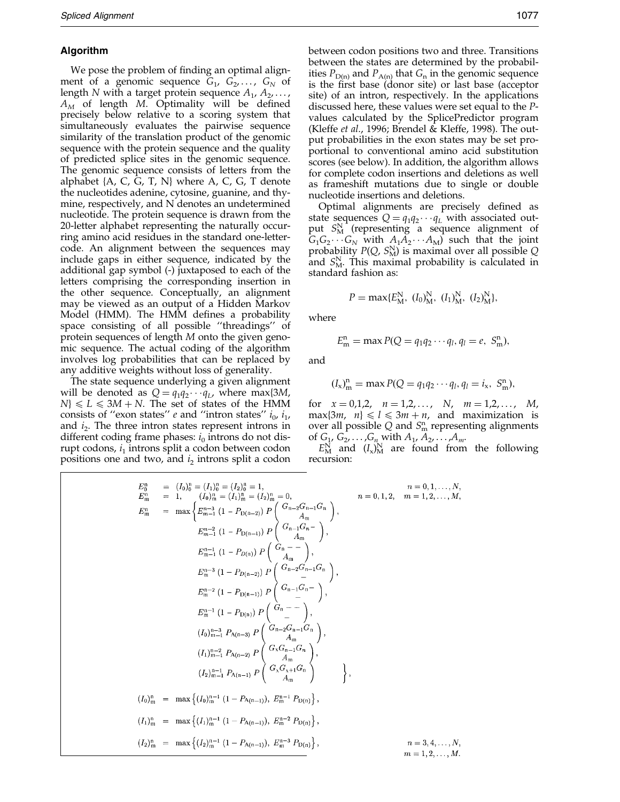#### Algorithm

We pose the problem of finding an optimal alignment of a genomic sequence  $G_1$ ,  $G_2$ , ...,  $G_N$  of length N with a target protein sequence  $A_1, A_2, \ldots$ ,  $A_M$  of length M. Optimality will be defined precisely below relative to a scoring system that simultaneously evaluates the pairwise sequence similarity of the translation product of the genomic sequence with the protein sequence and the quality of predicted splice sites in the genomic sequence. The genomic sequence consists of letters from the alphabet {A, C, G, T, N} where A, C, G, T denote the nucleotides adenine, cytosine, guanine, and thymine, respectively, and N denotes an undetermined nucleotide. The protein sequence is drawn from the 20-letter alphabet representing the naturally occurring amino acid residues in the standard one-lettercode. An alignment between the sequences may include gaps in either sequence, indicated by the additional gap symbol (-) juxtaposed to each of the letters comprising the corresponding insertion in the other sequence. Conceptually, an alignment may be viewed as an output of a Hidden Markov Model (HMM). The HMM defines a probability space consisting of all possible "threadings" of protein sequences of length M onto the given genomic sequence. The actual coding of the algorithm involves log probabilities that can be replaced by any additive weights without loss of generality.

The state sequence underlying a given alignment will be denoted as  $Q = q_1 q_2 \cdots q_L$ , where max{3*M*,  $N$ }  $\le L \le 3M + N$ . The set of states of the HMM consists of "exon states" e and "intron states"  $i_0$ ,  $i_1$ , and  $i_2$ . The three intron states represent introns in different coding frame phases:  $i_0$  introns do not disrupt codons,  $i_1$  introns split a codon between codon positions one and two, and  $i_2$  introns split a codon between codon positions two and three. Transitions between the states are determined by the probabilities  $P_{D(n)}$  and  $P_{A(n)}$  that  $G_n$  in the genomic sequence is the first base (donor site) or last base (acceptor site) of an intron, respectively. In the applications discussed here, these values were set equal to the Pvalues calculated by the SplicePredictor program [\(Kleffe](#page-10-0) et al., 1996[; Brendel](#page-10-0) & Kleffe, 1998). The output probabilities in the exon states may be set proportional to conventional amino acid substitution scores (see below). In addition, the algorithm allows for complete codon insertions and deletions as well as frameshift mutations due to single or double nucleotide insertions and deletions.

Optimal alignments are precisely defined as state sequences  $Q = q_1 q_2 \cdots q_L$  with associated output  $S_{\text{M}}^{\text{N}}$  (representing a sequence alignment of  $G_1G_2 \cdots G_N$  with  $A_1A_2 \cdots A_M$  such that the joint probability  $P(Q, S_M^N)$  is maximal over all possible Q and  $S_{\text{M}}^{\text{N}}$ . This maximal probability is calculated in standard fashion as:

$$
P = \max\{E_M^N, (I_0)_M^N, (I_1)_M^N, (I_2)_M^N\},\
$$

where

$$
E_m^n = \max P(Q = q_1 q_2 \cdots q_l, q_l = e, S_m^n),
$$

and

$$
(I_x)_m^n = \max P(Q = q_1 q_2 \cdots q_l, q_l = i_x, S_m^n),
$$

for  $x = 0,1,2, n = 1,2,..., N, m = 1,2,..., M$ ,  $max{3m, n} \le l \le 3m + n$ , and maximization is over all possible  $Q$  and  $S_m^n$  representing alignments of  $G_1, G_2, ..., G_n$  with  $A_1, A_2, ..., A_m$ .

 $E_{\rm M}^{\rm N}$  and  $(I_x)_{\rm M}^{\rm N}$  are found from the following recursion:

$$
E_{0}^{0} = (I_{0})_{0}^{n} = (I_{1})_{0}^{n} = (I_{2})_{0}^{n} = 1, \t n = 0, 1, ..., N,
$$
  
\n
$$
E_{m}^{n} = 1, \t (I_{0})_{m}^{n} = (I_{1})_{m}^{n} = (I_{2})_{m}^{n} = 0, \t n = 0, 1, 2, \t m = 1, 2, ..., M,
$$
  
\n
$$
E_{m}^{n} = \max \left\{ E_{m-1}^{n-3} (1 - P_{D(n-1)}) P \begin{pmatrix} G_{n-2}G_{n-1}G_{n} \\ A_{m} \\ A_{m} \end{pmatrix},
$$
  
\n
$$
E_{m-1}^{n-1} (1 - P_{D(n-1)}) P \begin{pmatrix} G_{n-1}G_{n} \\ A_{m} \\ A_{m} \end{pmatrix},
$$
  
\n
$$
E_{m}^{n-3} (1 - P_{D(n-2)}) P \begin{pmatrix} G_{n-2}G_{n-1}G_{n} \\ A_{m} \end{pmatrix},
$$
  
\n
$$
E_{m}^{n-2} (1 - P_{D(n-1)}) P \begin{pmatrix} G_{n-2}G_{n-1}G_{n} \\ - \\ - \\ - \\ 1 \end{pmatrix},
$$
  
\n
$$
E_{m}^{n-1} (1 - P_{D(n)}) P \begin{pmatrix} G_{n-1}G_{n} \\ - \\ - \\ 1 \end{pmatrix},
$$
  
\n
$$
(I_{0})_{m-1}^{n-3} P_{A(n-3)} P \begin{pmatrix} G_{n-2}G_{n-1}G_{n} \\ G_{n}G_{n-1}G_{n} \\ A_{m} \\ \end{pmatrix},
$$
  
\n
$$
(I_{2})_{m-1}^{n-1} P_{A(n-1)} P \begin{pmatrix} G_{N}G_{N+1}G_{n} \\ A_{m} \\ A_{m} \\ \end{pmatrix},
$$
  
\n
$$
(I_{0})_{m}^{n} = \max \{ (I_{0})_{m}^{n-1} (1 - P_{A(n-1)}), E_{m}^{n-1} P_{D(n)} \},
$$
  
\n
$$
(I_{2})_{m}^{n} = \max \{ (I_{1})_{m}^{n-1} (1 - P_{
$$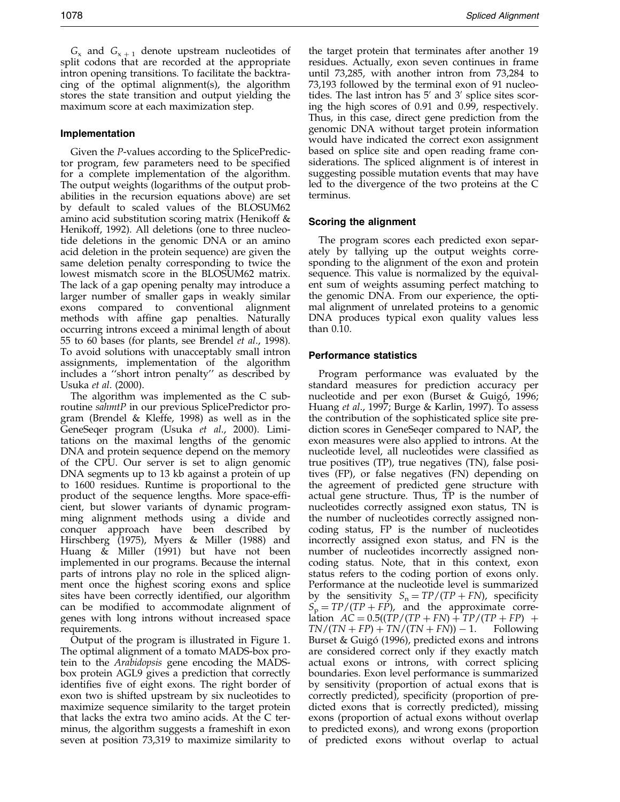$G_x$  and  $G_{x+1}$  denote upstream nucleotides of split codons that are recorded at the appropriate intron opening transitions. To facilitate the backtracing of the optimal alignment(s), the algorithm stores the state transition and output yielding the maximum score at each maximization step.

### Implementation

Given the P-values according to the SplicePredictor program, few parameters need to be specified for a complete implementation of the algorithm. The output weights (logarithms of the output probabilities in the recursion equations above) are set by default to scaled values of the BLOSUM62 amino acid substitution scoring matrix [\(Henikoff](#page-10-0) & Henikoff, 1992). All deletions (one to three nucleotide deletions in the genomic DNA or an amino acid deletion in the protein sequence) are given the same deletion penalty corresponding to twice the lowest mismatch score in the BLOSUM62 matrix. The lack of a gap opening penalty may introduce a larger number of smaller gaps in weakly similar exons compared to conventional alignment methods with affine gap penalties. Naturally occurring introns exceed a minimal length of about 55 to 60 bases (for plants, see [Brendel](#page-10-0) et al., 1998). To avoid solutions with unacceptably small intron assignments, implementation of the algorithm includes a "short intron penalty" as described by [Usuka](#page-10-0) et al. (2000).

The algorithm was implemented as the C subroutine sahmtP in our previous SplicePredictor program [\(Brendel](#page-10-0) & Kleffe, 1998) as well as in the GeneSeqer program [\(Usuka](#page-10-0) et al., 2000). Limitations on the maximal lengths of the genomic DNA and protein sequence depend on the memory of the CPU. Our server is set to align genomic DNA segments up to 13 kb against a protein of up to 1600 residues. Runtime is proportional to the product of the sequence lengths. More space-efficient, but slower variants of dynamic programming alignment methods using a divide and conquer approach have been described by [Hirschbe](#page-10-0)rg (1975), [Myers &](#page-10-0) Miller (1988) and [Huang](#page-10-0) & Miller (1991) but have not been implemented in our programs. Because the internal parts of introns play no role in the spliced alignment once the highest scoring exons and splice sites have been correctly identified, our algorithm can be modified to accommodate alignment of genes with long introns without increased space requirements.

Output of the program is illustrated in Figure 1. The optimal alignment of a tomato MADS-box protein to the Arabidopsis gene encoding the MADSbox protein AGL9 gives a prediction that correctly identifies five of eight exons. The right border of exon two is shifted upstream by six nucleotides to maximize sequence similarity to the target protein that lacks the extra two amino acids. At the C terminus, the algorithm suggests a frameshift in exon seven at position 73,319 to maximize similarity to the target protein that terminates after another 19 residues. Actually, exon seven continues in frame until 73,285, with another intron from 73,284 to 73,193 followed by the terminal exon of 91 nucleotides. The last intron has  $5'$  and  $3'$  splice sites scoring the high scores of 0.91 and 0.99, respectively. Thus, in this case, direct gene prediction from the genomic DNA without target protein information would have indicated the correct exon assignment based on splice site and open reading frame considerations. The spliced alignment is of interest in suggesting possible mutation events that may have led to the divergence of the two proteins at the C terminus.

# Scoring the alignment

The program scores each predicted exon separately by tallying up the output weights corresponding to the alignment of the exon and protein sequence. This value is normalized by the equivalent sum of weights assuming perfect matching to the genomic DNA. From our experience, the optimal alignment of unrelated proteins to a genomic DNA produces typical exon quality values less than 0.10.

#### Performance statistics

Program performance was evaluated by the standard measures for prediction accuracy per nucleotide and per exon [\(Burset &](#page-10-0) Guigó, 1996; [Huang](#page-10-0) et al., 1997[; Burge &](#page-10-0) Karlin, 1997). To assess the contribution of the sophisticated splice site prediction scores in GeneSeqer compared to NAP, the exon measures were also applied to introns. At the nucleotide level, all nucleotides were classified as true positives (TP), true negatives (TN), false positives (FP), or false negatives (FN) depending on the agreement of predicted gene structure with actual gene structure. Thus, TP is the number of nucleotides correctly assigned exon status, TN is the number of nucleotides correctly assigned noncoding status, FP is the number of nucleotides incorrectly assigned exon status, and FN is the number of nucleotides incorrectly assigned noncoding status. Note, that in this context, exon status refers to the coding portion of exons only. Performance at the nucleotide level is summarized by the sensitivity  $S_n = TP/(TP + FN)$ , specificity  $S_p = TP/(TP + FP)$ , and the approximate correlation  $AC = 0.5((TP/(TP + FN) + TP/(TP + FP) +$  $TN/(TN + FP) + TN/(TN + FN) - 1.$  Following [Burset &](#page-10-0) Guigó (1996), predicted exons and introns are considered correct only if they exactly match actual exons or introns, with correct splicing boundaries. Exon level performance is summarized by sensitivity (proportion of actual exons that is correctly predicted), specificity (proportion of predicted exons that is correctly predicted), missing exons (proportion of actual exons without overlap to predicted exons), and wrong exons (proportion of predicted exons without overlap to actual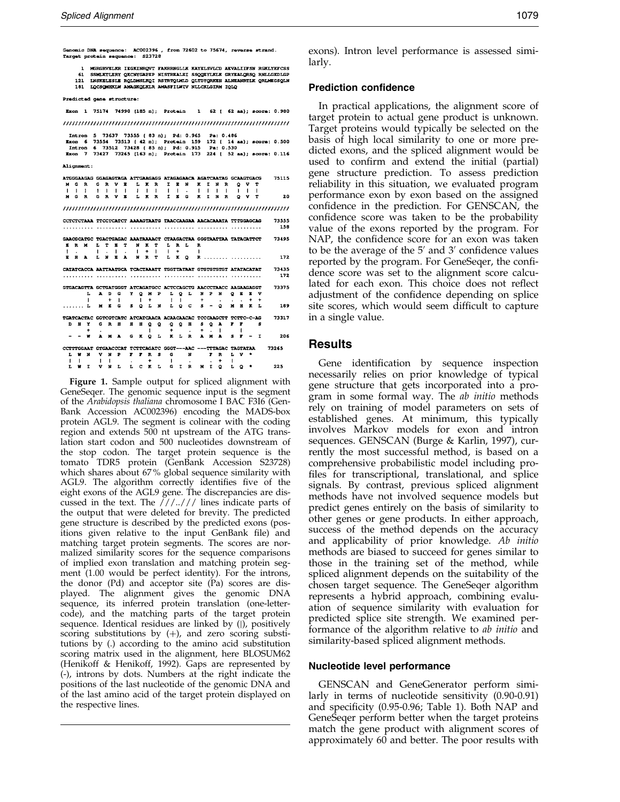1 MGRGRVELKR IEGKINRQVT FAKRRNGLLK KAYELSVLCD AEVALITESN RGKLYEFCSS - ENGINEERY ORCHOMENT SANDARDIE SECONDINA GRIENLESS NAMILIES<br>121 INSKELESIE ROLDMSLKOI RSTRTOIMID QUIDYQRKEH ALMENDRIIK QRIMEGSQLN<br>121 INSKELESIE ROLDMSLKOI RSTRTOIMID QUIDYQRKEH ALMENDRIIK QRIMEGSQLN<br>181 IQOSQMEKLM AMAGKQ

Predicted gene structure:

Exon 1 75174 74990 (185 n); Protein 1 62 (62 aa); score: 0.980 

Intron 5 73637 73555 (83 n); Pd: 0.965 Pa: 0.486<br>Exon 6 73554 73513 (42 n); Protein 159 172 (14 aa); score: 0.500<br>Intron 6 73512 73428 (85 n); Pd: 0.915 Pa: 0.530<br>Exon 7 73427 73265 (163 n); Protein 173 224 (52 aa); score: Alignment: ATGGGAAGAG GGAGAGTAGA ATTGAAGAGG ATAGAGAACA AGATCAATAG GCAAGTGACG 75115  $\begin{array}{ccccc} & Q & V & T \\ & | & | & | & \\ Q & V & T \end{array}$ 20 CCTCTCTAAA TTCCTCATCT AAAAGTAATG TAACCAAGAA AACACAAATA TTTGGAGCAG 73555 GAACGCATGC TGACTGAGAC AAATAAAACT CTAAGACTAA GGGTAATTAA TATACATTCT 73495 172 73435<br>172 CATATCACCA AATTAATGCA TCACTAAATT TGGTTATAAT GTGTGTGTGT ATATACATAT GIGACAGITA GCIGATGGGT ATCAGATGCC ACTCCAGCTG AACCCTAACC AAGAAGAGGT 73375 189 TGATCACTAC GOTCOTCATC ATCATCAACA ACAACAACAC TCCCAAGCTT TCTTC-C-AG<br>
D B Y G R B B Q Q Q Q B S Q A F F S<br>
-- W A M A G K Q L K L R A M A S F - I 73317 206 CCTTTGGAAT GTGAACCCAT TCTTCAGATC GGGT---AAC ---TTTAGAC TAGTATAA 73265 L W N V N P F F R S G N F R L V \*<br>
| | | | | | + | | | + |<br>L W I V N L L C R L G I R M I Q L Q \* 225

Figure 1. Sample output for spliced alignment with GeneSeqer. The genomic sequence input is the segment of the Arabidopsis thaliana chromosome I BAC F3I6 (Gen-Bank Accession AC002396) encoding the MADS-box protein AGL9. The segment is colinear with the coding region and extends 500 nt upstream of the ATG translation start codon and 500 nucleotides downstream of the stop codon. The target protein sequence is the tomato TDR5 protein (GenBank Accession S23728) which shares about 67 % global sequence similarity with AGL9. The algorithm correctly identifies five of the eight exons of the AGL9 gene. The discrepancies are discussed in the text. The ///../// lines indicate parts of the output that were deleted for brevity. The predicted gene structure is described by the predicted exons (positions given relative to the input GenBank file) and matching target protein segments. The scores are normalized similarity scores for the sequence comparisons of implied exon translation and matching protein segment (1.00 would be perfect identity). For the introns, the donor (Pd) and acceptor site (Pa) scores are displayed. The alignment gives the genomic DNA sequence, its inferred protein translation (one-lettercode), and the matching parts of the target protein sequence. Identical residues are linked by (|), positively scoring substitutions by  $(+)$ , and zero scoring substitutions by (.) according to the amino acid substitution scoring matrix used in the alignment, here BLOSUM62 [\(Henikoff](#page-10-0) & Henikoff, 1992). Gaps are represented by (-), introns by dots. Numbers at the right indicate the positions of the last nucleotide of the genomic DNA and of the last amino acid of the target protein displayed on the respective lines.

exons). Intron level performance is assessed similarly.

#### Prediction confidence

In practical applications, the alignment score of target protein to actual gene product is unknown. Target proteins would typically be selected on the basis of high local similarity to one or more predicted exons, and the spliced alignment would be used to confirm and extend the initial (partial) gene structure prediction. To assess prediction reliability in this situation, we evaluated program performance exon by exon based on the assigned confidence in the prediction. For GENSCAN, the confidence score was taken to be the probability value of the exons reported by the program. For NAP, the confidence score for an exon was taken to be the average of the  $5'$  and  $3'$  confidence values reported by the program. For GeneSeqer, the confidence score was set to the alignment score calculated for each exon. This choice does not reflect adjustment of the confidence depending on splice site scores, which would seem difficult to capture in a single value.

### Results

Gene identification by sequence inspection necessarily relies on prior knowledge of typical gene structure that gets incorporated into a program in some formal way. The ab initio methods rely on training of model parameters on sets of established genes. At minimum, this typically involves Markov models for exon and intron sequences. GENSCAN [\(Burge &](#page-10-0) Karlin, 1997), currently the most successful method, is based on a comprehensive probabilistic model including pro files for transcriptional, translational, and splice signals. By contrast, previous spliced alignment methods have not involved sequence models but predict genes entirely on the basis of similarity to other genes or gene products. In either approach, success of the method depends on the accuracy and applicability of prior knowledge. Ab initio methods are biased to succeed for genes similar to those in the training set of the method, while spliced alignment depends on the suitability of the chosen target sequence. The GeneSeqer algorithm represents a hybrid approach, combining evaluation of sequence similarity with evaluation for predicted splice site strength. We examined performance of the algorithm relative to ab initio and similarity-based spliced alignment methods.

#### Nucleotide level performance

GENSCAN and GeneGenerator perform similarly in terms of nucleotide sensitivity (0.90-0.91) and specificity  $(0.95{\text -}0.96;$  [Table 1\).](#page-6-0) Both NAP and GeneSeqer perform better when the target proteins match the gene product with alignment scores of approximately 60 and better. The poor results with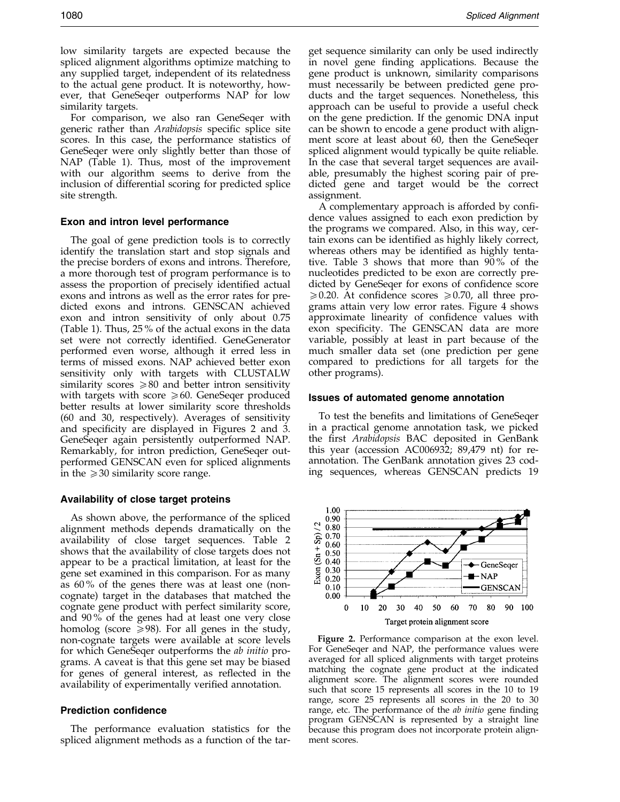1080 Spliced Alignment (1989) 2008 Spliced Alignment (1989) 30 Spliced Alignment (1989) 30 Spliced Alignment (1989) 30 Spliced Alignment (1989) 30 Spliced Alignment (1989) 30 Spliced Alignment (1989) 30 Spliced Alignment (

low similarity targets are expected because the spliced alignment algorithms optimize matching to any supplied target, independent of its relatedness to the actual gene product. It is noteworthy, however, that GeneSeqer outperforms NAP for low similarity targets.

For comparison, we also ran GeneSeqer with generic rather than *Arabidopsis* specific splice site scores. In this case, the performance statistics of GeneSeqer were only slightly better than those of NAP [\(Table 1\)](#page-6-0). Thus, most of the improvement with our algorithm seems to derive from the inclusion of differential scoring for predicted splice site strength.

#### Exon and intron level performance

The goal of gene prediction tools is to correctly identify the translation start and stop signals and the precise borders of exons and introns. Therefore, a more thorough test of program performance is to assess the proportion of precisely identified actual exons and introns as well as the error rates for predicted exons and introns. GENSCAN achieved exon and intron sensitivity of only about 0.75 [\(Table 1\).](#page-6-0) Thus, 25 % of the actual exons in the data set were not correctly identified. GeneGenerator performed even worse, although it erred less in terms of missed exons. NAP achieved better exon sensitivity only with targets with CLUSTALW similarity scores  $\geq 80$  and better intron sensitivity with targets with score  $\geq 60$ . GeneSeqer produced better results at lower similarity score thresholds (60 and 30, respectively). Averages of sensitivity and specificity are displayed in Figures 2 and 3. GeneSeqer again persistently outperformed NAP. Remarkably, for intron prediction, GeneSeqer outperformed GENSCAN even for spliced alignments in the  $\geq$  30 similarity score range.

#### Availability of close target proteins

As shown above, the performance of the spliced alignment methods depends dramatically on the availability of close target sequences. [Table 2](#page-7-0) shows that the availability of close targets does not appear to be a practical limitation, at least for the gene set examined in this comparison. For as many as 60 % of the genes there was at least one (noncognate) target in the databases that matched the cognate gene product with perfect similarity score, and 90 % of the genes had at least one very close homolog (score  $\geq$  98). For all genes in the study, non-cognate targets were available at score levels for which GeneSeqer outperforms the ab initio programs. A caveat is that this gene set may be biased for genes of general interest, as reflected in the availability of experimentally verified annotation.

#### Prediction confidence

The performance evaluation statistics for the spliced alignment methods as a function of the tar-

get sequence similarity can only be used indirectly in novel gene finding applications. Because the gene product is unknown, similarity comparisons must necessarily be between predicted gene products and the target sequences. Nonetheless, this approach can be useful to provide a useful check on the gene prediction. If the genomic DNA input can be shown to encode a gene product with alignment score at least about 60, then the GeneSeqer spliced alignment would typically be quite reliable. In the case that several target sequences are available, presumably the highest scoring pair of predicted gene and target would be the correct assignment.

A complementary approach is afforded by confidence values assigned to each exon prediction by the programs we compared. Also, in this way, certain exons can be identified as highly likely correct, whereas others may be identified as highly tentative. [Table 3](#page-8-0) shows that more than 90 % of the nucleotides predicted to be exon are correctly predicted by GeneSeqer for exons of confidence score  $\geqslant$  0.20. At confidence scores  $\geqslant$  0.70, all three programs attain very low error rates. Figure 4 shows approximate linearity of confidence values with exon specificity. The GENSCAN data are more variable, possibly at least in part because of the much smaller data set (one prediction per gene compared to predictions for all targets for the other programs).

#### Issues of automated genome annotation

To test the benefits and limitations of GeneSeqer in a practical genome annotation task, we picked the first Arabidopsis BAC deposited in GenBank this year (accession AC006932; 89,479 nt) for reannotation. The GenBank annotation gives 23 coding sequences, whereas GENSCAN predicts 19



Figure 2. Performance comparison at the exon level. For GeneSeqer and NAP, the performance values were averaged for all spliced alignments with target proteins matching the cognate gene product at the indicated alignment score. The alignment scores were rounded such that score 15 represents all scores in the 10 to 19 range, score 25 represents all scores in the 20 to 30 range, etc. The performance of the *ab initio* gene finding program GENSCAN is represented by a straight line because this program does not incorporate protein alignment scores.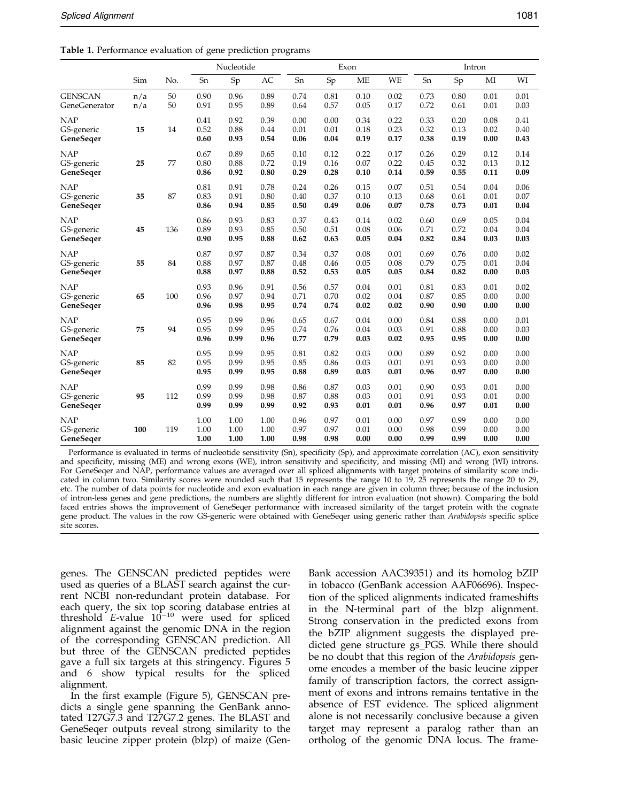<span id="page-6-0"></span>

| Table 1. Performance evaluation of gene prediction programs |
|-------------------------------------------------------------|
|-------------------------------------------------------------|

|                                       |            |          |                      | Nucleotide           |                      |                      |                      | Exon                 |                      |                      |                      | Intron               |                      |
|---------------------------------------|------------|----------|----------------------|----------------------|----------------------|----------------------|----------------------|----------------------|----------------------|----------------------|----------------------|----------------------|----------------------|
|                                       | Sim        | No.      | Sn                   | Sp                   | AC                   | Sn                   | Sp                   | <b>ME</b>            | WE                   | Sn                   | Sp                   | MI                   | WI                   |
| <b>GENSCAN</b><br>GeneGenerator       | n/a<br>n/a | 50<br>50 | 0.90<br>0.91         | 0.96<br>0.95         | 0.89<br>0.89         | 0.74<br>0.64         | 0.81<br>0.57         | 0.10<br>0.05         | 0.02<br>0.17         | 0.73<br>0.72         | 0.80<br>0.61         | 0.01<br>0.01         | 0.01<br>0.03         |
| <b>NAP</b><br>GS-generic<br>GeneSeqer | 15         | 14       | 0.41<br>0.52<br>0.60 | 0.92<br>0.88<br>0.93 | 0.39<br>0.44<br>0.54 | 0.00<br>0.01<br>0.06 | 0.00<br>0.01<br>0.04 | 0.34<br>0.18<br>0.19 | 0.22<br>0.23<br>0.17 | 0.33<br>0.32<br>0.38 | 0.20<br>0.13<br>0.19 | 0.08<br>0.02<br>0.00 | 0.41<br>0.40<br>0.43 |
| <b>NAP</b><br>GS-generic<br>GeneSeqer | 25         | 77       | 0.67<br>0.80<br>0.86 | 0.89<br>0.88<br>0.92 | 0.65<br>0.72<br>0.80 | 0.10<br>0.19<br>0.29 | 0.12<br>0.16<br>0.28 | 0.22<br>0.07<br>0.10 | 0.17<br>0.22<br>0.14 | 0.26<br>0.45<br>0.59 | 0.29<br>0.32<br>0.55 | 0.12<br>0.13<br>0.11 | 0.14<br>0.12<br>0.09 |
| <b>NAP</b><br>GS-generic<br>GeneSeger | 35         | 87       | 0.81<br>0.83<br>0.86 | 0.91<br>0.91<br>0.94 | 0.78<br>0.80<br>0.85 | 0.24<br>0.40<br>0.50 | 0.26<br>0.37<br>0.49 | 0.15<br>0.10<br>0.06 | 0.07<br>0.13<br>0.07 | 0.51<br>0.68<br>0.78 | 0.54<br>0.61<br>0.73 | 0.04<br>0.01<br>0.01 | 0.06<br>0.07<br>0.04 |
| <b>NAP</b><br>GS-generic<br>GeneSeger | 45         | 136      | 0.86<br>0.89<br>0.90 | 0.93<br>0.93<br>0.95 | 0.83<br>0.85<br>0.88 | 0.37<br>0.50<br>0.62 | 0.43<br>0.51<br>0.63 | 0.14<br>0.08<br>0.05 | 0.02<br>0.06<br>0.04 | 0.60<br>0.71<br>0.82 | 0.69<br>0.72<br>0.84 | 0.05<br>0.04<br>0.03 | 0.04<br>0.04<br>0.03 |
| <b>NAP</b><br>GS-generic<br>GeneSeqer | 55         | 84       | 0.87<br>0.88<br>0.88 | 0.97<br>0.97<br>0.97 | 0.87<br>0.87<br>0.88 | 0.34<br>0.48<br>0.52 | 0.37<br>0.46<br>0.53 | 0.08<br>0.05<br>0.05 | 0.01<br>0.08<br>0.05 | 0.69<br>0.79<br>0.84 | 0.76<br>0.75<br>0.82 | 0.00<br>0.01<br>0.00 | 0.02<br>0.04<br>0.03 |
| <b>NAP</b><br>GS-generic<br>GeneSeqer | 65         | 100      | 0.93<br>0.96<br>0.96 | 0.96<br>0.97<br>0.98 | 0.91<br>0.94<br>0.95 | 0.56<br>0.71<br>0.74 | 0.57<br>0.70<br>0.74 | 0.04<br>0.02<br>0.02 | 0.01<br>0.04<br>0.02 | 0.81<br>0.87<br>0.90 | 0.83<br>0.85<br>0.90 | 0.01<br>0.00<br>0.00 | 0.02<br>0.00<br>0.00 |
| <b>NAP</b><br>GS-generic<br>GeneSeger | 75         | 94       | 0.95<br>0.95<br>0.96 | 0.99<br>0.99<br>0.99 | 0.96<br>0.95<br>0.96 | 0.65<br>0.74<br>0.77 | 0.67<br>0.76<br>0.79 | 0.04<br>0.04<br>0.03 | 0.00<br>0.03<br>0.02 | 0.84<br>0.91<br>0.95 | 0.88<br>0.88<br>0.95 | 0.00<br>0.00<br>0.00 | 0.01<br>0.03<br>0.00 |
| <b>NAP</b><br>GS-generic<br>GeneSeqer | 85         | 82       | 0.95<br>0.95<br>0.95 | 0.99<br>0.99<br>0.99 | 0.95<br>0.95<br>0.95 | 0.81<br>0.85<br>0.88 | 0.82<br>0.86<br>0.89 | 0.03<br>0.03<br>0.03 | 0.00<br>0.01<br>0.01 | 0.89<br>0.91<br>0.96 | 0.92<br>0.93<br>0.97 | 0.00<br>0.00<br>0.00 | 0.00<br>0.00<br>0.00 |
| <b>NAP</b><br>GS-generic<br>GeneSeqer | 95         | 112      | 0.99<br>0.99<br>0.99 | 0.99<br>0.99<br>0.99 | 0.98<br>0.98<br>0.99 | 0.86<br>0.87<br>0.92 | 0.87<br>0.88<br>0.93 | 0.03<br>0.03<br>0.01 | 0.01<br>0.01<br>0.01 | 0.90<br>0.91<br>0.96 | 0.93<br>0.93<br>0.97 | 0.01<br>0.01<br>0.01 | 0.00<br>0.00<br>0.00 |
| <b>NAP</b><br>GS-generic<br>GeneSeger | 100        | 119      | 1.00<br>1.00<br>1.00 | 1.00<br>1.00<br>1.00 | 1.00<br>1.00<br>1.00 | 0.96<br>0.97<br>0.98 | 0.97<br>0.97<br>0.98 | 0.01<br>0.01<br>0.00 | 0.00<br>0.00<br>0.00 | 0.97<br>0.98<br>0.99 | 0.99<br>0.99<br>0.99 | 0.00<br>0.00<br>0.00 | 0.00<br>0.00<br>0.00 |

Performance is evaluated in terms of nucleotide sensitivity (Sn), specificity (Sp), and approximate correlation (AC), exon sensitivity and specificity, missing (ME) and wrong exons (WE), intron sensitivity and specificity, and missing (MI) and wrong (WI) introns. For GeneSeqer and NAP, performance values are averaged over all spliced alignments with target proteins of similarity score indicated in column two. Similarity scores were rounded such that 15 represents the range 10 to 19, 25 represents the range 20 to 29, etc. The number of data points for nucleotide and exon evaluation in each range are given in column three; because of the inclusion of intron-less genes and gene predictions, the numbers are slightly different for intron evaluation (not shown). Comparing the bold faced entries shows the improvement of GeneSeqer performance with increased similarity of the target protein with the cognate gene product. The values in the row GS-generic were obtained with GeneSeqer using generic rather than Arabidopsis specific splice site scores.

genes. The GENSCAN predicted peptides were used as queries of a BLAST search against the current NCBI non-redundant protein database. For each query, the six top scoring database entries at threshold  $E$ -value  $10^{-10}$  were used for spliced alignment against the genomic DNA in the region of the corresponding GENSCAN prediction. All but three of the GENSCAN predicted peptides gave a full six targets at this stringency. Figures 5 and 6 show typical results for the spliced alignment.

In the first example (Figure 5), GENSCAN predicts a single gene spanning the GenBank annotated T27G7.3 and T27G7.2 genes. The BLAST and GeneSeqer outputs reveal strong similarity to the basic leucine zipper protein (blzp) of maize (Gen-

Bank accession AAC39351) and its homolog bZIP in tobacco (GenBank accession AAF06696). Inspection of the spliced alignments indicated frameshifts in the N-terminal part of the blzp alignment. Strong conservation in the predicted exons from the bZIP alignment suggests the displayed predicted gene structure gs PGS. While there should be no doubt that this region of the Arabidopsis genome encodes a member of the basic leucine zipper family of transcription factors, the correct assignment of exons and introns remains tentative in the absence of EST evidence. The spliced alignment alone is not necessarily conclusive because a given target may represent a paralog rather than an ortholog of the genomic DNA locus. The frame-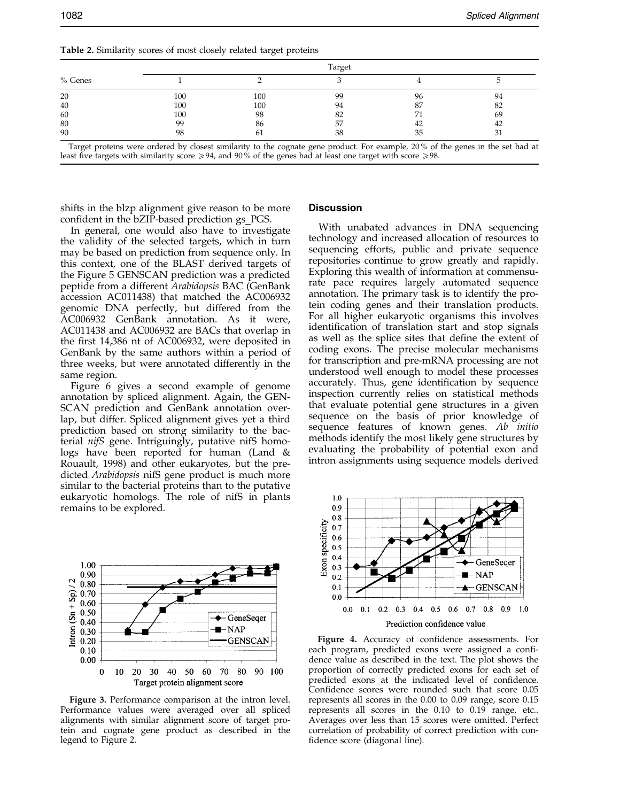<span id="page-7-0"></span>Target proteins were ordered by closest similarity to the cognate gene product. For example, 20 % of the genes in the set had at least five targets with similarity score  $\geq 94$ , and 90% of the genes had at least one target with score  $\geq 98$ .

shifts in the blzp alignment give reason to be more confident in the bZIP-based prediction gs\_PGS.

In general, one would also have to investigate the validity of the selected targets, which in turn may be based on prediction from sequence only. In this context, one of the BLAST derived targets of the Figure 5 GENSCAN prediction was a predicted peptide from a different Arabidopsis BAC (GenBank accession AC011438) that matched the AC006932 genomic DNA perfectly, but differed from the AC006932 GenBank annotation. As it were, AC011438 and AC006932 are BACs that overlap in the first  $14,386$  nt of AC006932, were deposited in GenBank by the same authors within a period of three weeks, but were annotated differently in the same region.

Figure 6 gives a second example of genome annotation by spliced alignment. Again, the GEN-SCAN prediction and GenBank annotation overlap, but differ. Spliced alignment gives yet a third prediction based on strong similarity to the bacterial nifS gene. Intriguingly, putative nifS homologs have been reported for human [\(Land &](#page-10-0) Rouault, 1998) and other eukaryotes, but the predicted Arabidopsis nifS gene product is much more similar to the bacterial proteins than to the putative eukaryotic homologs. The role of nifS in plants remains to be explored.



Figure 3. Performance comparison at the intron level. Performance values were averaged over all spliced alignments with similar alignment score of target protein and cognate gene product as described in the legend to Figure 2.

#### **Discussion**

With unabated advances in DNA sequencing technology and increased allocation of resources to sequencing efforts, public and private sequence repositories continue to grow greatly and rapidly. Exploring this wealth of information at commensurate pace requires largely automated sequence annotation. The primary task is to identify the protein coding genes and their translation products. For all higher eukaryotic organisms this involves identification of translation start and stop signals as well as the splice sites that define the extent of coding exons. The precise molecular mechanisms for transcription and pre-mRNA processing are not understood well enough to model these processes accurately. Thus, gene identification by sequence inspection currently relies on statistical methods that evaluate potential gene structures in a given sequence on the basis of prior knowledge of sequence features of known genes. Ab initio methods identify the most likely gene structures by evaluating the probability of potential exon and intron assignments using sequence models derived



Figure 4. Accuracy of confidence assessments. For each program, predicted exons were assigned a confidence value as described in the text. The plot shows the proportion of correctly predicted exons for each set of predicted exons at the indicated level of confidence. Confidence scores were rounded such that score 0.05 represents all scores in the 0.00 to 0.09 range, score 0.15 represents all scores in the 0.10 to 0.19 range, etc.. Averages over less than 15 scores were omitted. Perfect correlation of probability of correct prediction with con fidence score (diagonal line).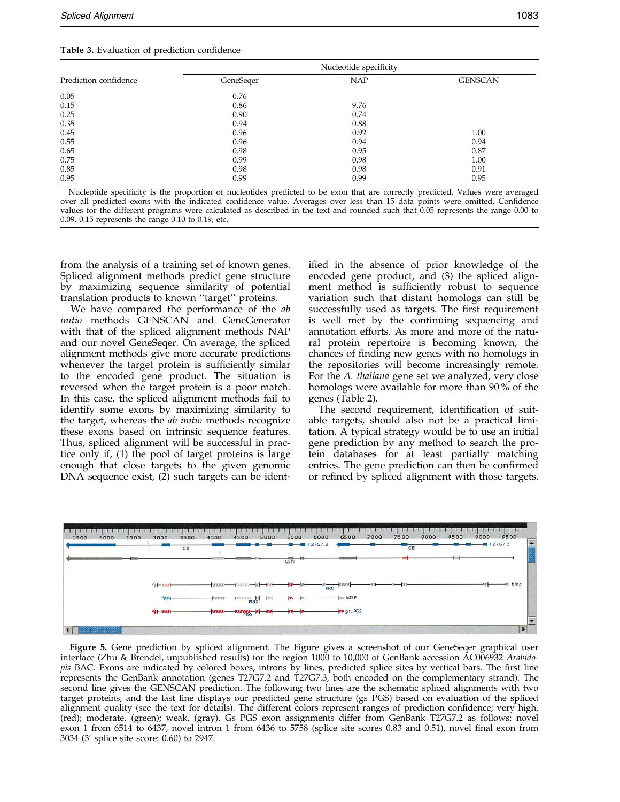<span id="page-8-0"></span>

|                       | Nucleotide specificity |            |                |  |  |  |  |  |
|-----------------------|------------------------|------------|----------------|--|--|--|--|--|
| Prediction confidence | GeneSeger              | <b>NAP</b> | <b>GENSCAN</b> |  |  |  |  |  |
| 0.05                  | 0.76                   |            |                |  |  |  |  |  |
| 0.15                  | 0.86                   | 9.76       |                |  |  |  |  |  |
| 0.25                  | 0.90                   | 0.74       |                |  |  |  |  |  |
| 0.35                  | 0.94                   | 0.88       |                |  |  |  |  |  |
| 0.45                  | 0.96                   | 0.92       | 1.00           |  |  |  |  |  |
| 0.55                  | 0.96                   | 0.94       | 0.94           |  |  |  |  |  |
| 0.65                  | 0.98                   | 0.95       | 0.87           |  |  |  |  |  |
| 0.75                  | 0.99                   | 0.98       | 1.00           |  |  |  |  |  |
| 0.85                  | 0.98                   | 0.98       | 0.91           |  |  |  |  |  |
| 0.95                  | 0.99                   | 0.99       | 0.95           |  |  |  |  |  |

Nucleotide specificity is the proportion of nucleotides predicted to be exon that are correctly predicted. Values were averaged over all predicted exons with the indicated confidence value. Averages over less than 15 data points were omitted. Confidence values for the different programs were calculated as described in the text and rounded such that 0.05 represents the range 0.00 to 0.09, 0.15 represents the range 0.10 to 0.19, etc.

from the analysis of a training set of known genes. Spliced alignment methods predict gene structure by maximizing sequence similarity of potential translation products to known "target" proteins.

We have compared the performance of the ab initio methods GENSCAN and GeneGenerator with that of the spliced alignment methods NAP and our novel GeneSeqer. On average, the spliced alignment methods give more accurate predictions whenever the target protein is sufficiently similar to the encoded gene product. The situation is reversed when the target protein is a poor match. In this case, the spliced alignment methods fail to identify some exons by maximizing similarity to the target, whereas the *ab initio* methods recognize these exons based on intrinsic sequence features. Thus, spliced alignment will be successful in practice only if, (1) the pool of target proteins is large enough that close targets to the given genomic DNA sequence exist, (2) such targets can be identified in the absence of prior knowledge of the encoded gene product, and (3) the spliced alignment method is sufficiently robust to sequence variation such that distant homologs can still be successfully used as targets. The first requirement is well met by the continuing sequencing and annotation efforts. As more and more of the natural protein repertoire is becoming known, the chances of finding new genes with no homologs in the repositories will become increasingly remote. For the A. thaliana gene set we analyzed, very close homologs were available for more than 90 % of the genes [\(Table 2\).](#page-7-0)

The second requirement, identification of suitable targets, should also not be a practical limitation. A typical strategy would be to use an initial gene prediction by any method to search the protein databases for at least partially matching entries. The gene prediction can then be confirmed or refined by spliced alignment with those targets.



Figure 5. Gene prediction by spliced alignment. The Figure gives a screenshot of our GeneSeqer graphical user interface (Zhu & Brendel, unpublished results) for the region 1000 to 10,000 of GenBank accession AC006932 Arabidopis BAC. Exons are indicated by colored boxes, introns by lines, predicted splice sites by vertical bars. The first line represents the GenBank annotation (genes T27G7.2 and T27G7.3, both encoded on the complementary strand). The second line gives the GENSCAN prediction. The following two lines are the schematic spliced alignments with two target proteins, and the last line displays our predicted gene structure (gs PGS) based on evaluation of the spliced alignment quality (see the text for details). The different colors represent ranges of prediction confidence; very high, (red); moderate, (green); weak, (gray). Gs PGS exon assignments differ from GenBank T27G7.2 as follows: novel exon 1 from 6514 to 6437, novel intron 1 from 6436 to 5758 (splice site scores 0.83 and 0.51), novel final exon from  $3034$  (3' splice site score: 0.60) to 2947.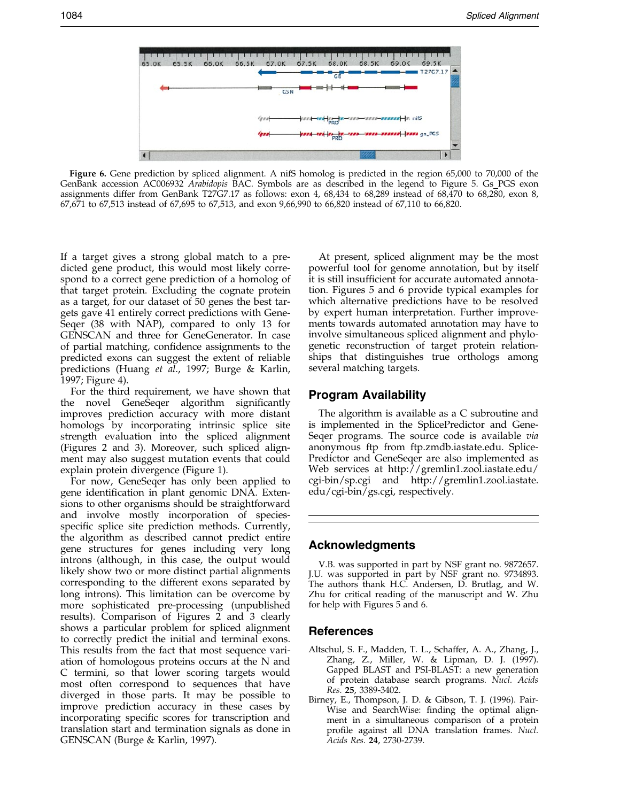<span id="page-9-0"></span>

Figure 6. Gene prediction by spliced alignment. A nifS homolog is predicted in the region 65,000 to 70,000 of the GenBank accession AC006932 Arabidopis BAC. Symbols are as described in the legend to Figure 5. Gs PGS exon assignments differ from GenBank T27G7.17 as follows: exon 4, 68,434 to 68,289 instead of 68,470 to 68,280, exon 8, 67,671 to 67,513 instead of 67,695 to 67,513, and exon 9,66,990 to 66,820 instead of 67,110 to 66,820.

If a target gives a strong global match to a predicted gene product, this would most likely correspond to a correct gene prediction of a homolog of that target protein. Excluding the cognate protein as a target, for our dataset of 50 genes the best targets gave 41 entirely correct predictions with Gene-Seqer (38 with NAP), compared to only 13 for GENSCAN and three for GeneGenerator. In case of partial matching, confidence assignments to the predicted exons can suggest the extent of reliable predictions [\(Huang](#page-10-0) et al., 1997; [Burge &](#page-10-0) Karlin, 1997; Figure 4).

For the third requirement, we have shown that the novel GeneSeger algorithm significantly improves prediction accuracy with more distant homologs by incorporating intrinsic splice site strength evaluation into the spliced alignment (Figures 2 and 3). Moreover, such spliced alignment may also suggest mutation events that could explain protein divergence (Figure 1).

For now, GeneSeqer has only been applied to gene identification in plant genomic DNA. Extensions to other organisms should be straightforward and involve mostly incorporation of speciesspecific splice site prediction methods. Currently, the algorithm as described cannot predict entire gene structures for genes including very long introns (although, in this case, the output would likely show two or more distinct partial alignments corresponding to the different exons separated by long introns). This limitation can be overcome by more sophisticated pre-processing (unpublished results). Comparison of Figures 2 and 3 clearly shows a particular problem for spliced alignment to correctly predict the initial and terminal exons. This results from the fact that most sequence variation of homologous proteins occurs at the N and C termini, so that lower scoring targets would most often correspond to sequences that have diverged in those parts. It may be possible to improve prediction accuracy in these cases by incorporating specific scores for transcription and translation start and termination signals as done in GENSCAN [\(Burge &](#page-10-0) Karlin, 1997).

At present, spliced alignment may be the most powerful tool for genome annotation, but by itself it is still insufficient for accurate automated annotation. Figures 5 and 6 provide typical examples for which alternative predictions have to be resolved by expert human interpretation. Further improvements towards automated annotation may have to involve simultaneous spliced alignment and phylogenetic reconstruction of target protein relationships that distinguishes true orthologs among several matching targets.

# Program Availability

The algorithm is available as a C subroutine and is implemented in the SplicePredictor and Gene-Seqer programs. The source code is available *via* anonymous ftp from ftp.zmdb.iastate.edu. Splice-Predictor and GeneSeqer are also implemented as Web services at http://gremlin1.zool.iastate.edu/ cgi-bin/sp.cgi and http://gremlin1.zool.iastate. edu/cgi-bin/gs.cgi, respectively.

# Acknowledgments

V.B. was supported in part by NSF grant no. 9872657. J.U. was supported in part by NSF grant no. 9734893. The authors thank H.C. Andersen, D. Brutlag, and W. Zhu for critical reading of the manuscript and W. Zhu for help with Figures 5 and 6.

#### References

- Altschul, S. F., Madden, T. L., Schaffer, A. A., Zhang, J., Zhang, Z., Miller, W. & Lipman, D. J. (1997). Gapped BLAST and PSI-BLAST: a new generation of protein database search programs. Nucl. Acids Res. 25, 3389-3402.
- Birney, E., Thompson, J. D. & Gibson, T. J. (1996). Pair-Wise and SearchWise: finding the optimal alignment in a simultaneous comparison of a protein profile against all DNA translation frames. Nucl. Acids Res. 24, 2730-2739.